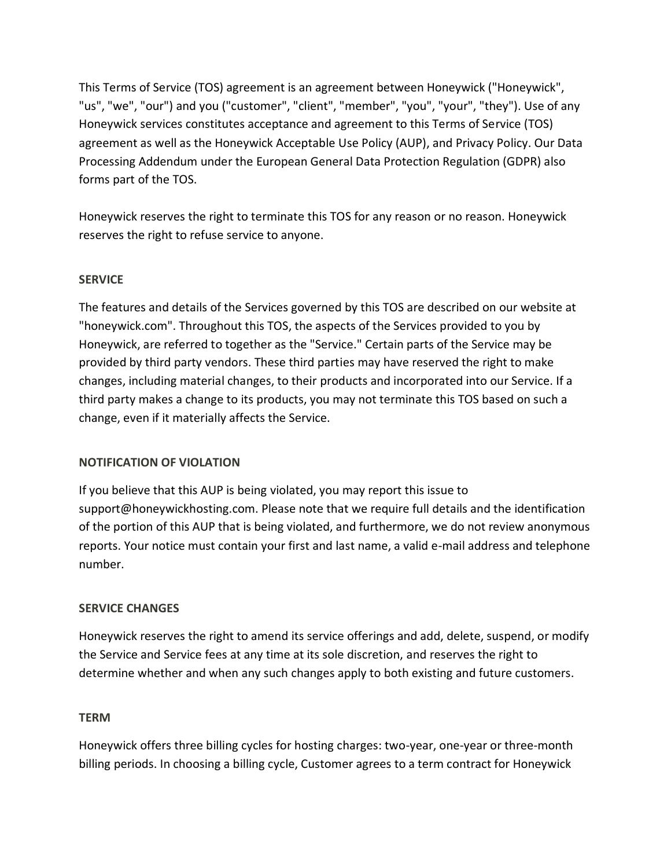This Terms of Service (TOS) agreement is an agreement between Honeywick ("Honeywick", "us", "we", "our") and you ("customer", "client", "member", "you", "your", "they"). Use of any Honeywick services constitutes acceptance and agreement to this Terms of Service (TOS) agreement as well as the Honeywick Acceptable Use Policy (AUP), and Privacy Policy. Our Data Processing Addendum under the European General Data Protection Regulation (GDPR) also forms part of the TOS.

Honeywick reserves the right to terminate this TOS for any reason or no reason. Honeywick reserves the right to refuse service to anyone.

## **SERVICE**

The features and details of the Services governed by this TOS are described on our website at "honeywick.com". Throughout this TOS, the aspects of the Services provided to you by Honeywick, are referred to together as the "Service." Certain parts of the Service may be provided by third party vendors. These third parties may have reserved the right to make changes, including material changes, to their products and incorporated into our Service. If a third party makes a change to its products, you may not terminate this TOS based on such a change, even if it materially affects the Service.

### **NOTIFICATION OF VIOLATION**

If you believe that this AUP is being violated, you may report this issue to support@honeywickhosting.com. Please note that we require full details and the identification of the portion of this AUP that is being violated, and furthermore, we do not review anonymous reports. Your notice must contain your first and last name, a valid e-mail address and telephone number.

# **SERVICE CHANGES**

Honeywick reserves the right to amend its service offerings and add, delete, suspend, or modify the Service and Service fees at any time at its sole discretion, and reserves the right to determine whether and when any such changes apply to both existing and future customers.

### **TERM**

Honeywick offers three billing cycles for hosting charges: two-year, one-year or three-month billing periods. In choosing a billing cycle, Customer agrees to a term contract for Honeywick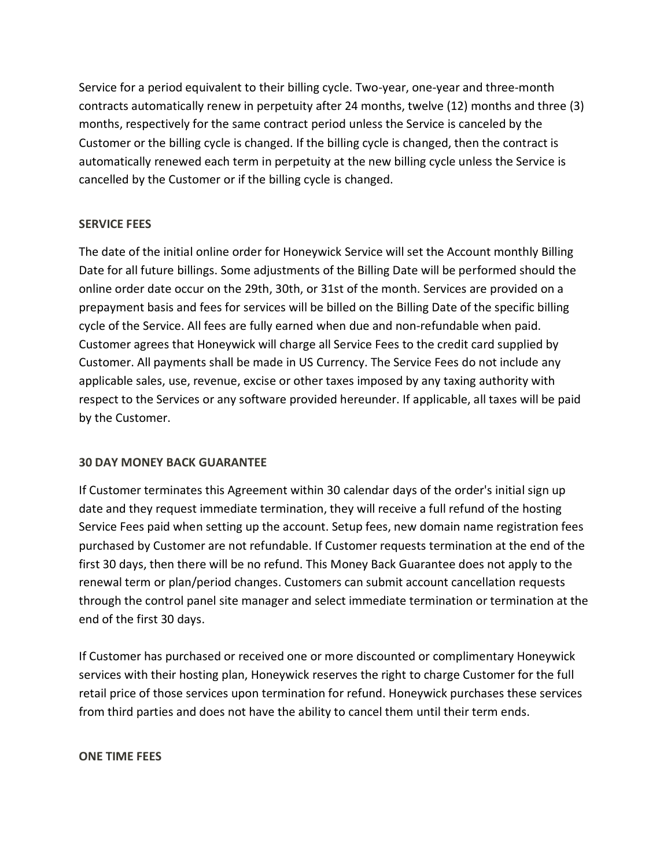Service for a period equivalent to their billing cycle. Two-year, one-year and three-month contracts automatically renew in perpetuity after 24 months, twelve (12) months and three (3) months, respectively for the same contract period unless the Service is canceled by the Customer or the billing cycle is changed. If the billing cycle is changed, then the contract is automatically renewed each term in perpetuity at the new billing cycle unless the Service is cancelled by the Customer or if the billing cycle is changed.

## **SERVICE FEES**

The date of the initial online order for Honeywick Service will set the Account monthly Billing Date for all future billings. Some adjustments of the Billing Date will be performed should the online order date occur on the 29th, 30th, or 31st of the month. Services are provided on a prepayment basis and fees for services will be billed on the Billing Date of the specific billing cycle of the Service. All fees are fully earned when due and non-refundable when paid. Customer agrees that Honeywick will charge all Service Fees to the credit card supplied by Customer. All payments shall be made in US Currency. The Service Fees do not include any applicable sales, use, revenue, excise or other taxes imposed by any taxing authority with respect to the Services or any software provided hereunder. If applicable, all taxes will be paid by the Customer.

### **30 DAY MONEY BACK GUARANTEE**

If Customer terminates this Agreement within 30 calendar days of the order's initial sign up date and they request immediate termination, they will receive a full refund of the hosting Service Fees paid when setting up the account. Setup fees, new domain name registration fees purchased by Customer are not refundable. If Customer requests termination at the end of the first 30 days, then there will be no refund. This Money Back Guarantee does not apply to the renewal term or plan/period changes. Customers can submit account cancellation requests through the control panel site manager and select immediate termination or termination at the end of the first 30 days.

If Customer has purchased or received one or more discounted or complimentary Honeywick services with their hosting plan, Honeywick reserves the right to charge Customer for the full retail price of those services upon termination for refund. Honeywick purchases these services from third parties and does not have the ability to cancel them until their term ends.

### **ONE TIME FEES**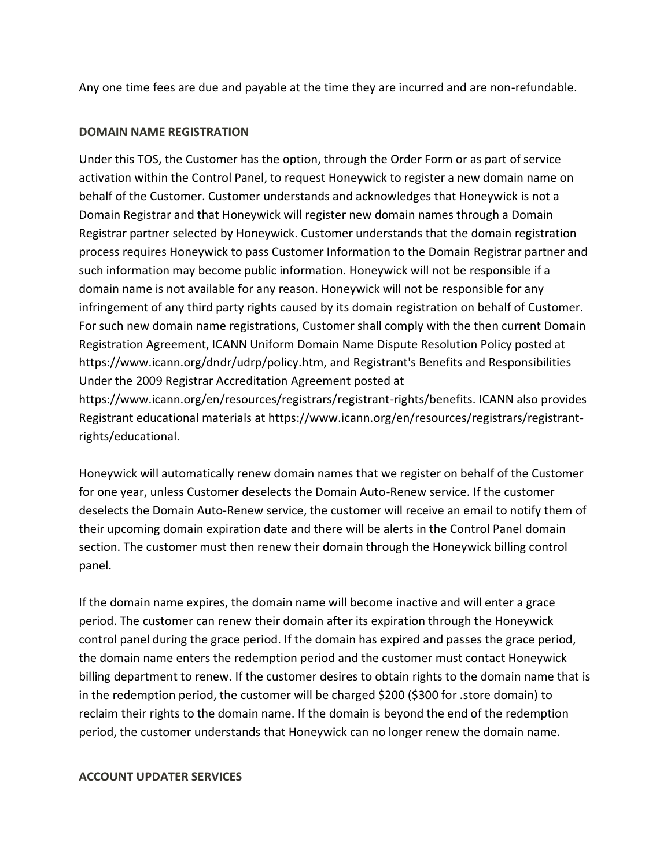Any one time fees are due and payable at the time they are incurred and are non-refundable.

#### **DOMAIN NAME REGISTRATION**

Under this TOS, the Customer has the option, through the Order Form or as part of service activation within the Control Panel, to request Honeywick to register a new domain name on behalf of the Customer. Customer understands and acknowledges that Honeywick is not a Domain Registrar and that Honeywick will register new domain names through a Domain Registrar partner selected by Honeywick. Customer understands that the domain registration process requires Honeywick to pass Customer Information to the Domain Registrar partner and such information may become public information. Honeywick will not be responsible if a domain name is not available for any reason. Honeywick will not be responsible for any infringement of any third party rights caused by its domain registration on behalf of Customer. For such new domain name registrations, Customer shall comply with the then current Domain Registration Agreement, ICANN Uniform Domain Name Dispute Resolution Policy posted at https://www.icann.org/dndr/udrp/policy.htm, and Registrant's Benefits and Responsibilities Under the 2009 Registrar Accreditation Agreement posted at https://www.icann.org/en/resources/registrars/registrant-rights/benefits. ICANN also provides Registrant educational materials at https://www.icann.org/en/resources/registrars/registrantrights/educational.

Honeywick will automatically renew domain names that we register on behalf of the Customer for one year, unless Customer deselects the Domain Auto-Renew service. If the customer deselects the Domain Auto-Renew service, the customer will receive an email to notify them of their upcoming domain expiration date and there will be alerts in the Control Panel domain section. The customer must then renew their domain through the Honeywick billing control panel.

If the domain name expires, the domain name will become inactive and will enter a grace period. The customer can renew their domain after its expiration through the Honeywick control panel during the grace period. If the domain has expired and passes the grace period, the domain name enters the redemption period and the customer must contact Honeywick billing department to renew. If the customer desires to obtain rights to the domain name that is in the redemption period, the customer will be charged \$200 (\$300 for .store domain) to reclaim their rights to the domain name. If the domain is beyond the end of the redemption period, the customer understands that Honeywick can no longer renew the domain name.

#### **ACCOUNT UPDATER SERVICES**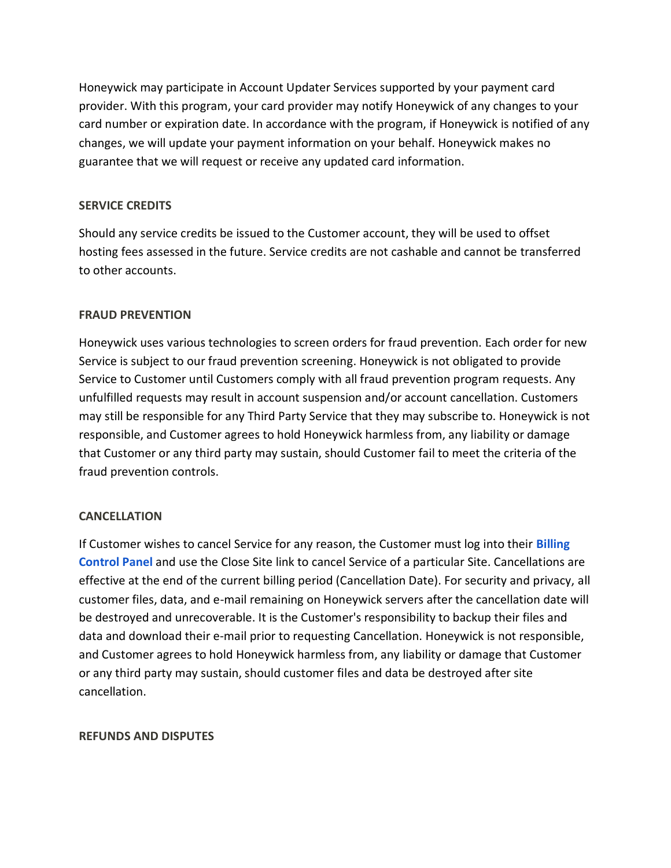Honeywick may participate in Account Updater Services supported by your payment card provider. With this program, your card provider may notify Honeywick of any changes to your card number or expiration date. In accordance with the program, if Honeywick is notified of any changes, we will update your payment information on your behalf. Honeywick makes no guarantee that we will request or receive any updated card information.

### **SERVICE CREDITS**

Should any service credits be issued to the Customer account, they will be used to offset hosting fees assessed in the future. Service credits are not cashable and cannot be transferred to other accounts.

### **FRAUD PREVENTION**

Honeywick uses various technologies to screen orders for fraud prevention. Each order for new Service is subject to our fraud prevention screening. Honeywick is not obligated to provide Service to Customer until Customers comply with all fraud prevention program requests. Any unfulfilled requests may result in account suspension and/or account cancellation. Customers may still be responsible for any Third Party Service that they may subscribe to. Honeywick is not responsible, and Customer agrees to hold Honeywick harmless from, any liability or damage that Customer or any third party may sustain, should Customer fail to meet the criteria of the fraud prevention controls.

### **CANCELLATION**

If Customer wishes to cancel Service for any reason, the Customer must log into their **[Billing](https://controlpanel.honeywickhosting.com/billing/)  [Control Panel](https://controlpanel.honeywickhosting.com/billing/)** and use the Close Site link to cancel Service of a particular Site. Cancellations are effective at the end of the current billing period (Cancellation Date). For security and privacy, all customer files, data, and e-mail remaining on Honeywick servers after the cancellation date will be destroyed and unrecoverable. It is the Customer's responsibility to backup their files and data and download their e-mail prior to requesting Cancellation. Honeywick is not responsible, and Customer agrees to hold Honeywick harmless from, any liability or damage that Customer or any third party may sustain, should customer files and data be destroyed after site cancellation.

### **REFUNDS AND DISPUTES**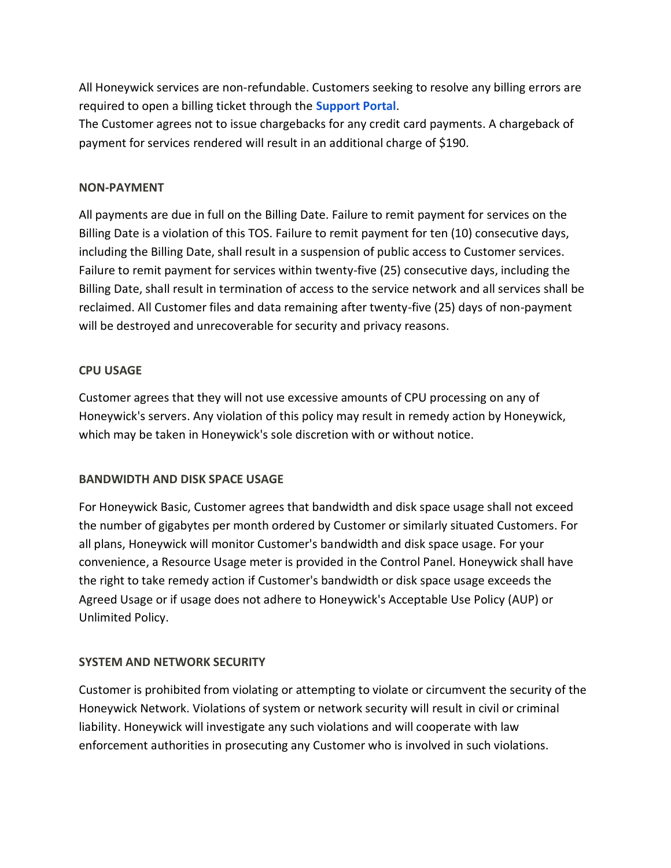All Honeywick services are non-refundable. Customers seeking to resolve any billing errors are required to open a billing ticket through the **[Support Portal](https://controlpanel.honeywickhosting.com/billing/submitticket.php?step=2&deptid=3)**.

The Customer agrees not to issue chargebacks for any credit card payments. A chargeback of payment for services rendered will result in an additional charge of \$190.

## **NON-PAYMENT**

All payments are due in full on the Billing Date. Failure to remit payment for services on the Billing Date is a violation of this TOS. Failure to remit payment for ten (10) consecutive days, including the Billing Date, shall result in a suspension of public access to Customer services. Failure to remit payment for services within twenty-five (25) consecutive days, including the Billing Date, shall result in termination of access to the service network and all services shall be reclaimed. All Customer files and data remaining after twenty-five (25) days of non-payment will be destroyed and unrecoverable for security and privacy reasons.

## **CPU USAGE**

Customer agrees that they will not use excessive amounts of CPU processing on any of Honeywick's servers. Any violation of this policy may result in remedy action by Honeywick, which may be taken in Honeywick's sole discretion with or without notice.

# **BANDWIDTH AND DISK SPACE USAGE**

For Honeywick Basic, Customer agrees that bandwidth and disk space usage shall not exceed the number of gigabytes per month ordered by Customer or similarly situated Customers. For all plans, Honeywick will monitor Customer's bandwidth and disk space usage. For your convenience, a Resource Usage meter is provided in the Control Panel. Honeywick shall have the right to take remedy action if Customer's bandwidth or disk space usage exceeds the Agreed Usage or if usage does not adhere to Honeywick's Acceptable Use Policy (AUP) or Unlimited Policy.

# **SYSTEM AND NETWORK SECURITY**

Customer is prohibited from violating or attempting to violate or circumvent the security of the Honeywick Network. Violations of system or network security will result in civil or criminal liability. Honeywick will investigate any such violations and will cooperate with law enforcement authorities in prosecuting any Customer who is involved in such violations.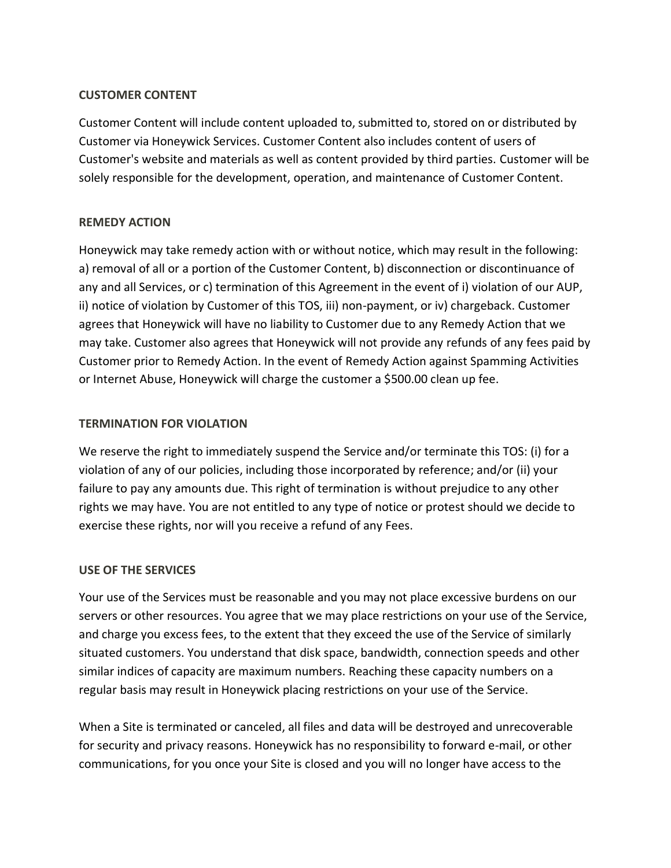### **CUSTOMER CONTENT**

Customer Content will include content uploaded to, submitted to, stored on or distributed by Customer via Honeywick Services. Customer Content also includes content of users of Customer's website and materials as well as content provided by third parties. Customer will be solely responsible for the development, operation, and maintenance of Customer Content.

### **REMEDY ACTION**

Honeywick may take remedy action with or without notice, which may result in the following: a) removal of all or a portion of the Customer Content, b) disconnection or discontinuance of any and all Services, or c) termination of this Agreement in the event of i) violation of our AUP, ii) notice of violation by Customer of this TOS, iii) non-payment, or iv) chargeback. Customer agrees that Honeywick will have no liability to Customer due to any Remedy Action that we may take. Customer also agrees that Honeywick will not provide any refunds of any fees paid by Customer prior to Remedy Action. In the event of Remedy Action against Spamming Activities or Internet Abuse, Honeywick will charge the customer a \$500.00 clean up fee.

### **TERMINATION FOR VIOLATION**

We reserve the right to immediately suspend the Service and/or terminate this TOS: (i) for a violation of any of our policies, including those incorporated by reference; and/or (ii) your failure to pay any amounts due. This right of termination is without prejudice to any other rights we may have. You are not entitled to any type of notice or protest should we decide to exercise these rights, nor will you receive a refund of any Fees.

### **USE OF THE SERVICES**

Your use of the Services must be reasonable and you may not place excessive burdens on our servers or other resources. You agree that we may place restrictions on your use of the Service, and charge you excess fees, to the extent that they exceed the use of the Service of similarly situated customers. You understand that disk space, bandwidth, connection speeds and other similar indices of capacity are maximum numbers. Reaching these capacity numbers on a regular basis may result in Honeywick placing restrictions on your use of the Service.

When a Site is terminated or canceled, all files and data will be destroyed and unrecoverable for security and privacy reasons. Honeywick has no responsibility to forward e-mail, or other communications, for you once your Site is closed and you will no longer have access to the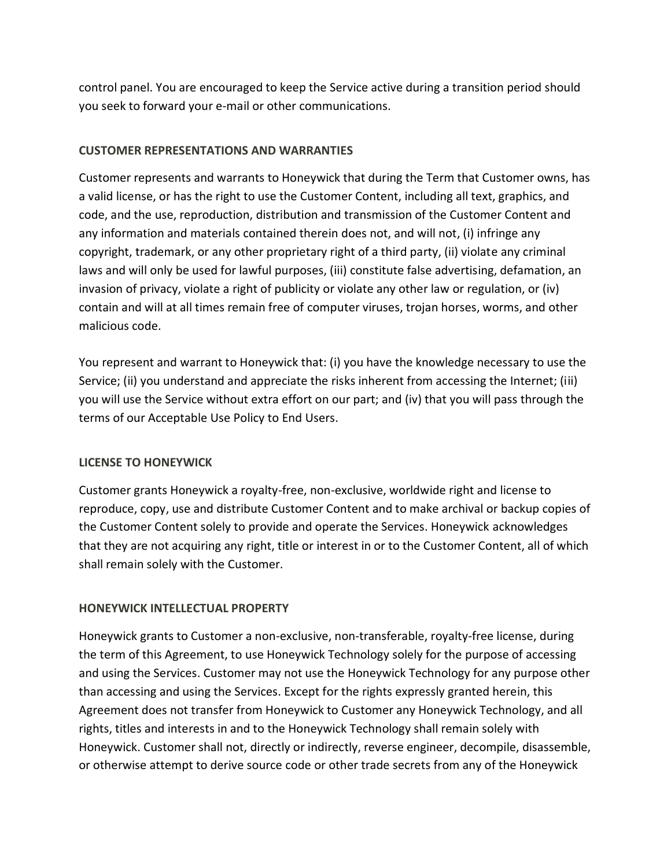control panel. You are encouraged to keep the Service active during a transition period should you seek to forward your e-mail or other communications.

# **CUSTOMER REPRESENTATIONS AND WARRANTIES**

Customer represents and warrants to Honeywick that during the Term that Customer owns, has a valid license, or has the right to use the Customer Content, including all text, graphics, and code, and the use, reproduction, distribution and transmission of the Customer Content and any information and materials contained therein does not, and will not, (i) infringe any copyright, trademark, or any other proprietary right of a third party, (ii) violate any criminal laws and will only be used for lawful purposes, (iii) constitute false advertising, defamation, an invasion of privacy, violate a right of publicity or violate any other law or regulation, or (iv) contain and will at all times remain free of computer viruses, trojan horses, worms, and other malicious code.

You represent and warrant to Honeywick that: (i) you have the knowledge necessary to use the Service; (ii) you understand and appreciate the risks inherent from accessing the Internet; (iii) you will use the Service without extra effort on our part; and (iv) that you will pass through the terms of our Acceptable Use Policy to End Users.

# **LICENSE TO HONEYWICK**

Customer grants Honeywick a royalty-free, non-exclusive, worldwide right and license to reproduce, copy, use and distribute Customer Content and to make archival or backup copies of the Customer Content solely to provide and operate the Services. Honeywick acknowledges that they are not acquiring any right, title or interest in or to the Customer Content, all of which shall remain solely with the Customer.

# **HONEYWICK INTELLECTUAL PROPERTY**

Honeywick grants to Customer a non-exclusive, non-transferable, royalty-free license, during the term of this Agreement, to use Honeywick Technology solely for the purpose of accessing and using the Services. Customer may not use the Honeywick Technology for any purpose other than accessing and using the Services. Except for the rights expressly granted herein, this Agreement does not transfer from Honeywick to Customer any Honeywick Technology, and all rights, titles and interests in and to the Honeywick Technology shall remain solely with Honeywick. Customer shall not, directly or indirectly, reverse engineer, decompile, disassemble, or otherwise attempt to derive source code or other trade secrets from any of the Honeywick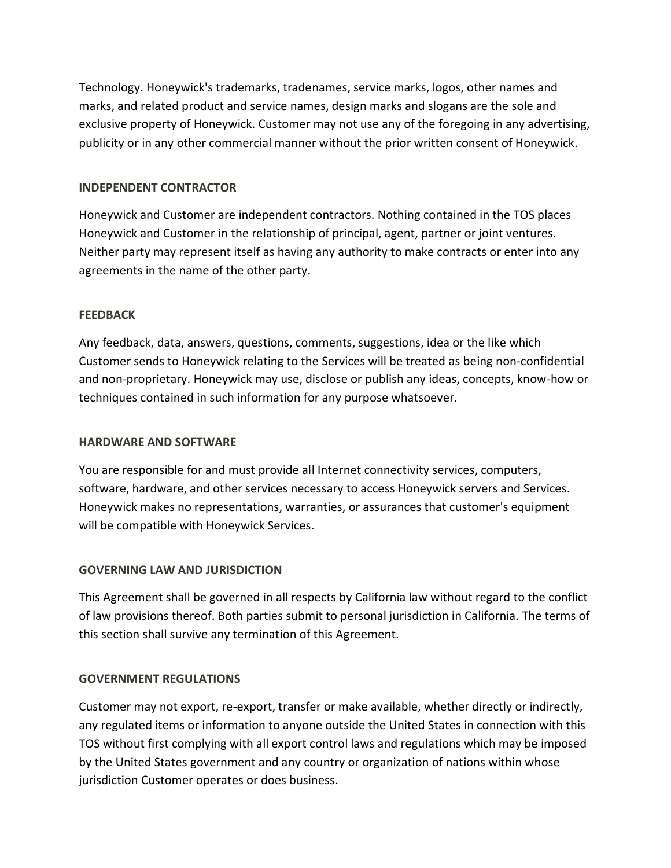Technology. Honeywick's trademarks, tradenames, service marks, logos, other names and marks, and related product and service names, design marks and slogans are the sole and exclusive property of Honeywick. Customer may not use any of the foregoing in any advertising, publicity or in any other commercial manner without the prior written consent of Honeywick.

### **INDEPENDENT CONTRACTOR**

Honeywick and Customer are independent contractors. Nothing contained in the TOS places Honeywick and Customer in the relationship of principal, agent, partner or joint ventures. Neither party may represent itself as having any authority to make contracts or enter into any agreements in the name of the other party.

## **FEEDBACK**

Any feedback, data, answers, questions, comments, suggestions, idea or the like which Customer sends to Honeywick relating to the Services will be treated as being non-confidential and non-proprietary. Honeywick may use, disclose or publish any ideas, concepts, know-how or techniques contained in such information for any purpose whatsoever.

### **HARDWARE AND SOFTWARE**

You are responsible for and must provide all Internet connectivity services, computers, software, hardware, and other services necessary to access Honeywick servers and Services. Honeywick makes no representations, warranties, or assurances that customer's equipment will be compatible with Honeywick Services.

# **GOVERNING LAW AND JURISDICTION**

This Agreement shall be governed in all respects by California law without regard to the conflict of law provisions thereof. Both parties submit to personal jurisdiction in California. The terms of this section shall survive any termination of this Agreement.

# **GOVERNMENT REGULATIONS**

Customer may not export, re-export, transfer or make available, whether directly or indirectly, any regulated items or information to anyone outside the United States in connection with this TOS without first complying with all export control laws and regulations which may be imposed by the United States government and any country or organization of nations within whose jurisdiction Customer operates or does business.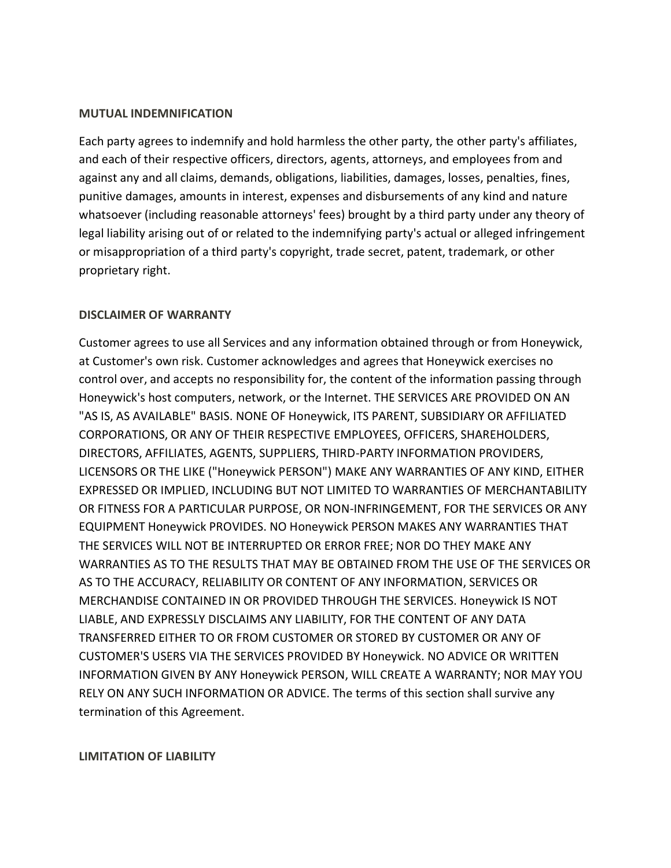#### **MUTUAL INDEMNIFICATION**

Each party agrees to indemnify and hold harmless the other party, the other party's affiliates, and each of their respective officers, directors, agents, attorneys, and employees from and against any and all claims, demands, obligations, liabilities, damages, losses, penalties, fines, punitive damages, amounts in interest, expenses and disbursements of any kind and nature whatsoever (including reasonable attorneys' fees) brought by a third party under any theory of legal liability arising out of or related to the indemnifying party's actual or alleged infringement or misappropriation of a third party's copyright, trade secret, patent, trademark, or other proprietary right.

### **DISCLAIMER OF WARRANTY**

Customer agrees to use all Services and any information obtained through or from Honeywick, at Customer's own risk. Customer acknowledges and agrees that Honeywick exercises no control over, and accepts no responsibility for, the content of the information passing through Honeywick's host computers, network, or the Internet. THE SERVICES ARE PROVIDED ON AN "AS IS, AS AVAILABLE" BASIS. NONE OF Honeywick, ITS PARENT, SUBSIDIARY OR AFFILIATED CORPORATIONS, OR ANY OF THEIR RESPECTIVE EMPLOYEES, OFFICERS, SHAREHOLDERS, DIRECTORS, AFFILIATES, AGENTS, SUPPLIERS, THIRD-PARTY INFORMATION PROVIDERS, LICENSORS OR THE LIKE ("Honeywick PERSON") MAKE ANY WARRANTIES OF ANY KIND, EITHER EXPRESSED OR IMPLIED, INCLUDING BUT NOT LIMITED TO WARRANTIES OF MERCHANTABILITY OR FITNESS FOR A PARTICULAR PURPOSE, OR NON-INFRINGEMENT, FOR THE SERVICES OR ANY EQUIPMENT Honeywick PROVIDES. NO Honeywick PERSON MAKES ANY WARRANTIES THAT THE SERVICES WILL NOT BE INTERRUPTED OR ERROR FREE; NOR DO THEY MAKE ANY WARRANTIES AS TO THE RESULTS THAT MAY BE OBTAINED FROM THE USE OF THE SERVICES OR AS TO THE ACCURACY, RELIABILITY OR CONTENT OF ANY INFORMATION, SERVICES OR MERCHANDISE CONTAINED IN OR PROVIDED THROUGH THE SERVICES. Honeywick IS NOT LIABLE, AND EXPRESSLY DISCLAIMS ANY LIABILITY, FOR THE CONTENT OF ANY DATA TRANSFERRED EITHER TO OR FROM CUSTOMER OR STORED BY CUSTOMER OR ANY OF CUSTOMER'S USERS VIA THE SERVICES PROVIDED BY Honeywick. NO ADVICE OR WRITTEN INFORMATION GIVEN BY ANY Honeywick PERSON, WILL CREATE A WARRANTY; NOR MAY YOU RELY ON ANY SUCH INFORMATION OR ADVICE. The terms of this section shall survive any termination of this Agreement.

### **LIMITATION OF LIABILITY**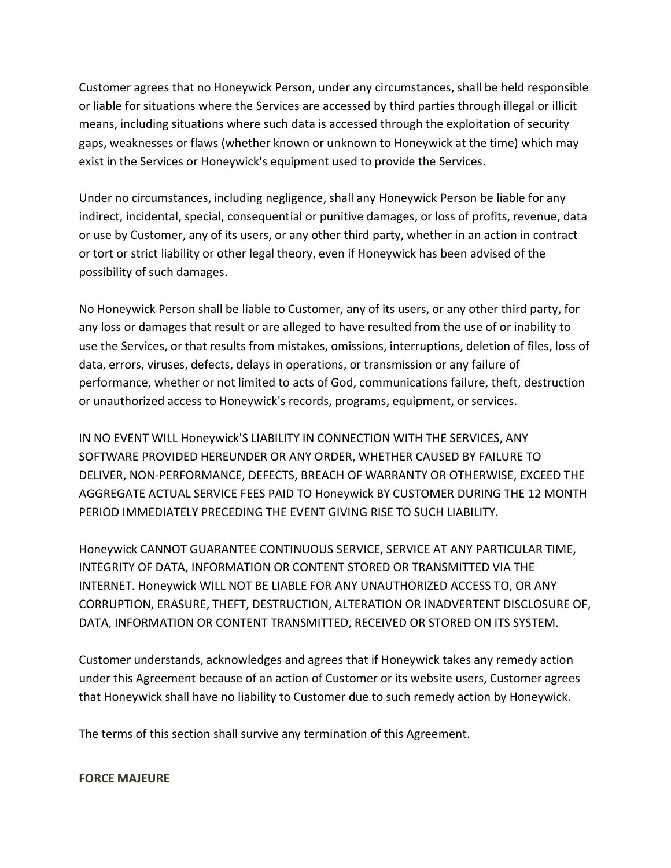Customer agrees that no Honeywick Person, under any circumstances, shall be held responsible or liable for situations where the Services are accessed by third parties through illegal or illicit means, including situations where such data is accessed through the exploitation of security gaps, weaknesses or flaws (whether known or unknown to Honeywick at the time) which may exist in the Services or Honeywick's equipment used to provide the Services.

Under no circumstances, including negligence, shall any Honeywick Person be liable for any indirect, incidental, special, consequential or punitive damages, or loss of profits, revenue, data or use by Customer, any of its users, or any other third party, whether in an action in contract or tort or strict liability or other legal theory, even if Honeywick has been advised of the possibility of such damages.

No Honeywick Person shall be liable to Customer, any of its users, or any other third party, for any loss or damages that result or are alleged to have resulted from the use of or inability to use the Services, or that results from mistakes, omissions, interruptions, deletion of files, loss of data, errors, viruses, defects, delays in operations, or transmission or any failure of performance, whether or not limited to acts of God, communications failure, theft, destruction or unauthorized access to Honeywick's records, programs, equipment, or services.

IN NO EVENT WILL Honeywick'S LIABILITY IN CONNECTION WITH THE SERVICES, ANY SOFTWARE PROVIDED HEREUNDER OR ANY ORDER, WHETHER CAUSED BY FAILURE TO DELIVER, NON-PERFORMANCE, DEFECTS, BREACH OF WARRANTY OR OTHERWISE, EXCEED THE AGGREGATE ACTUAL SERVICE FEES PAID TO Honeywick BY CUSTOMER DURING THE 12 MONTH PERIOD IMMEDIATELY PRECEDING THE EVENT GIVING RISE TO SUCH LIABILITY.

Honeywick CANNOT GUARANTEE CONTINUOUS SERVICE, SERVICE AT ANY PARTICULAR TIME, INTEGRITY OF DATA, INFORMATION OR CONTENT STORED OR TRANSMITTED VIA THE INTERNET. Honeywick WILL NOT BE LIABLE FOR ANY UNAUTHORIZED ACCESS TO, OR ANY CORRUPTION, ERASURE, THEFT, DESTRUCTION, ALTERATION OR INADVERTENT DISCLOSURE OF, DATA, INFORMATION OR CONTENT TRANSMITTED, RECEIVED OR STORED ON ITS SYSTEM.

Customer understands, acknowledges and agrees that if Honeywick takes any remedy action under this Agreement because of an action of Customer or its website users, Customer agrees that Honeywick shall have no liability to Customer due to such remedy action by Honeywick.

The terms of this section shall survive any termination of this Agreement.

#### **FORCE MAJEURE**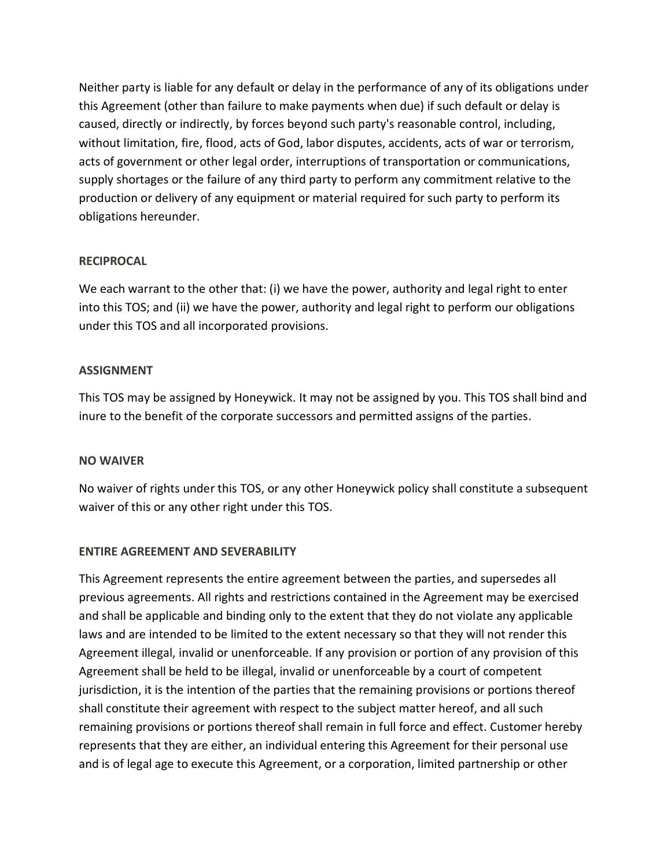Neither party is liable for any default or delay in the performance of any of its obligations under this Agreement (other than failure to make payments when due) if such default or delay is caused, directly or indirectly, by forces beyond such party's reasonable control, including, without limitation, fire, flood, acts of God, labor disputes, accidents, acts of war or terrorism, acts of government or other legal order, interruptions of transportation or communications, supply shortages or the failure of any third party to perform any commitment relative to the production or delivery of any equipment or material required for such party to perform its obligations hereunder.

## **RECIPROCAL**

We each warrant to the other that: (i) we have the power, authority and legal right to enter into this TOS; and (ii) we have the power, authority and legal right to perform our obligations under this TOS and all incorporated provisions.

## **ASSIGNMENT**

This TOS may be assigned by Honeywick. It may not be assigned by you. This TOS shall bind and inure to the benefit of the corporate successors and permitted assigns of the parties.

### **NO WAIVER**

No waiver of rights under this TOS, or any other Honeywick policy shall constitute a subsequent waiver of this or any other right under this TOS.

# **ENTIRE AGREEMENT AND SEVERABILITY**

This Agreement represents the entire agreement between the parties, and supersedes all previous agreements. All rights and restrictions contained in the Agreement may be exercised and shall be applicable and binding only to the extent that they do not violate any applicable laws and are intended to be limited to the extent necessary so that they will not render this Agreement illegal, invalid or unenforceable. If any provision or portion of any provision of this Agreement shall be held to be illegal, invalid or unenforceable by a court of competent jurisdiction, it is the intention of the parties that the remaining provisions or portions thereof shall constitute their agreement with respect to the subject matter hereof, and all such remaining provisions or portions thereof shall remain in full force and effect. Customer hereby represents that they are either, an individual entering this Agreement for their personal use and is of legal age to execute this Agreement, or a corporation, limited partnership or other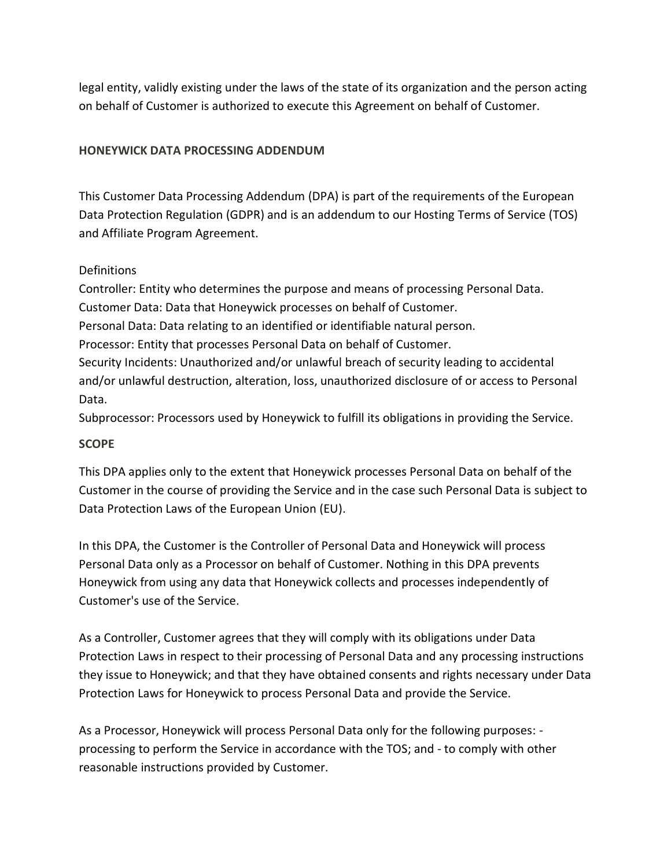legal entity, validly existing under the laws of the state of its organization and the person acting on behalf of Customer is authorized to execute this Agreement on behalf of Customer.

# **HONEYWICK DATA PROCESSING ADDENDUM**

This Customer Data Processing Addendum (DPA) is part of the requirements of the European Data Protection Regulation (GDPR) and is an addendum to our Hosting Terms of Service (TOS) and Affiliate Program Agreement.

# Definitions

Controller: Entity who determines the purpose and means of processing Personal Data. Customer Data: Data that Honeywick processes on behalf of Customer. Personal Data: Data relating to an identified or identifiable natural person. Processor: Entity that processes Personal Data on behalf of Customer. Security Incidents: Unauthorized and/or unlawful breach of security leading to accidental and/or unlawful destruction, alteration, loss, unauthorized disclosure of or access to Personal Data.

Subprocessor: Processors used by Honeywick to fulfill its obligations in providing the Service.

# **SCOPE**

This DPA applies only to the extent that Honeywick processes Personal Data on behalf of the Customer in the course of providing the Service and in the case such Personal Data is subject to Data Protection Laws of the European Union (EU).

In this DPA, the Customer is the Controller of Personal Data and Honeywick will process Personal Data only as a Processor on behalf of Customer. Nothing in this DPA prevents Honeywick from using any data that Honeywick collects and processes independently of Customer's use of the Service.

As a Controller, Customer agrees that they will comply with its obligations under Data Protection Laws in respect to their processing of Personal Data and any processing instructions they issue to Honeywick; and that they have obtained consents and rights necessary under Data Protection Laws for Honeywick to process Personal Data and provide the Service.

As a Processor, Honeywick will process Personal Data only for the following purposes: processing to perform the Service in accordance with the TOS; and - to comply with other reasonable instructions provided by Customer.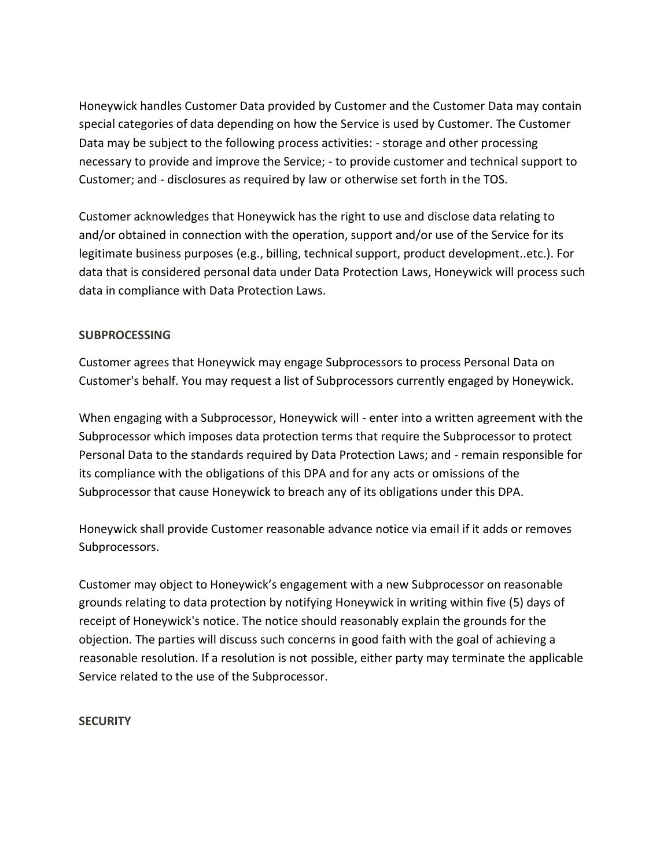Honeywick handles Customer Data provided by Customer and the Customer Data may contain special categories of data depending on how the Service is used by Customer. The Customer Data may be subject to the following process activities: - storage and other processing necessary to provide and improve the Service; - to provide customer and technical support to Customer; and - disclosures as required by law or otherwise set forth in the TOS.

Customer acknowledges that Honeywick has the right to use and disclose data relating to and/or obtained in connection with the operation, support and/or use of the Service for its legitimate business purposes (e.g., billing, technical support, product development..etc.). For data that is considered personal data under Data Protection Laws, Honeywick will process such data in compliance with Data Protection Laws.

## **SUBPROCESSING**

Customer agrees that Honeywick may engage Subprocessors to process Personal Data on Customer's behalf. You may request a list of Subprocessors currently engaged by Honeywick.

When engaging with a Subprocessor, Honeywick will - enter into a written agreement with the Subprocessor which imposes data protection terms that require the Subprocessor to protect Personal Data to the standards required by Data Protection Laws; and - remain responsible for its compliance with the obligations of this DPA and for any acts or omissions of the Subprocessor that cause Honeywick to breach any of its obligations under this DPA.

Honeywick shall provide Customer reasonable advance notice via email if it adds or removes Subprocessors.

Customer may object to Honeywick's engagement with a new Subprocessor on reasonable grounds relating to data protection by notifying Honeywick in writing within five (5) days of receipt of Honeywick's notice. The notice should reasonably explain the grounds for the objection. The parties will discuss such concerns in good faith with the goal of achieving a reasonable resolution. If a resolution is not possible, either party may terminate the applicable Service related to the use of the Subprocessor.

### **SECURITY**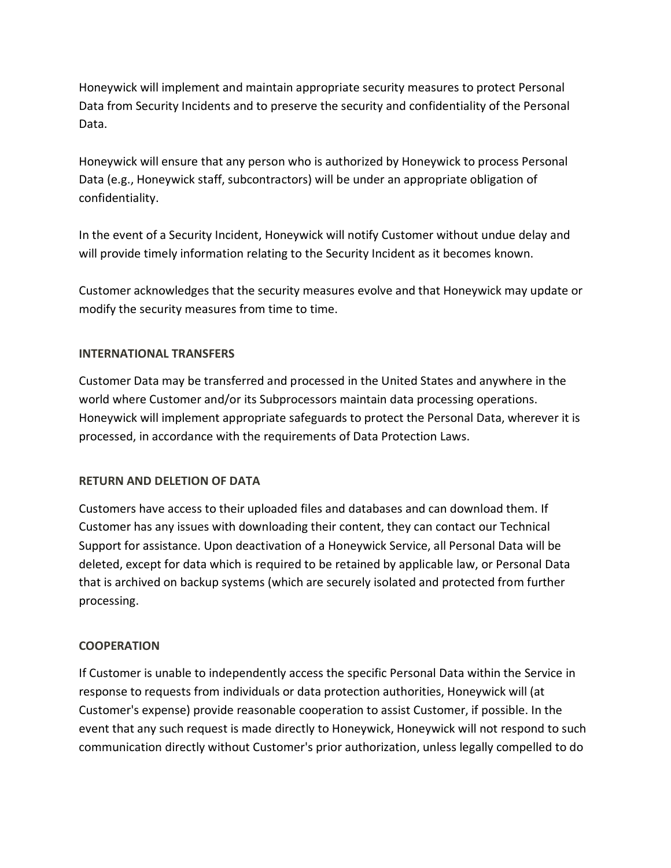Honeywick will implement and maintain appropriate security measures to protect Personal Data from Security Incidents and to preserve the security and confidentiality of the Personal Data.

Honeywick will ensure that any person who is authorized by Honeywick to process Personal Data (e.g., Honeywick staff, subcontractors) will be under an appropriate obligation of confidentiality.

In the event of a Security Incident, Honeywick will notify Customer without undue delay and will provide timely information relating to the Security Incident as it becomes known.

Customer acknowledges that the security measures evolve and that Honeywick may update or modify the security measures from time to time.

## **INTERNATIONAL TRANSFERS**

Customer Data may be transferred and processed in the United States and anywhere in the world where Customer and/or its Subprocessors maintain data processing operations. Honeywick will implement appropriate safeguards to protect the Personal Data, wherever it is processed, in accordance with the requirements of Data Protection Laws.

### **RETURN AND DELETION OF DATA**

Customers have access to their uploaded files and databases and can download them. If Customer has any issues with downloading their content, they can contact our Technical Support for assistance. Upon deactivation of a Honeywick Service, all Personal Data will be deleted, except for data which is required to be retained by applicable law, or Personal Data that is archived on backup systems (which are securely isolated and protected from further processing.

# **COOPERATION**

If Customer is unable to independently access the specific Personal Data within the Service in response to requests from individuals or data protection authorities, Honeywick will (at Customer's expense) provide reasonable cooperation to assist Customer, if possible. In the event that any such request is made directly to Honeywick, Honeywick will not respond to such communication directly without Customer's prior authorization, unless legally compelled to do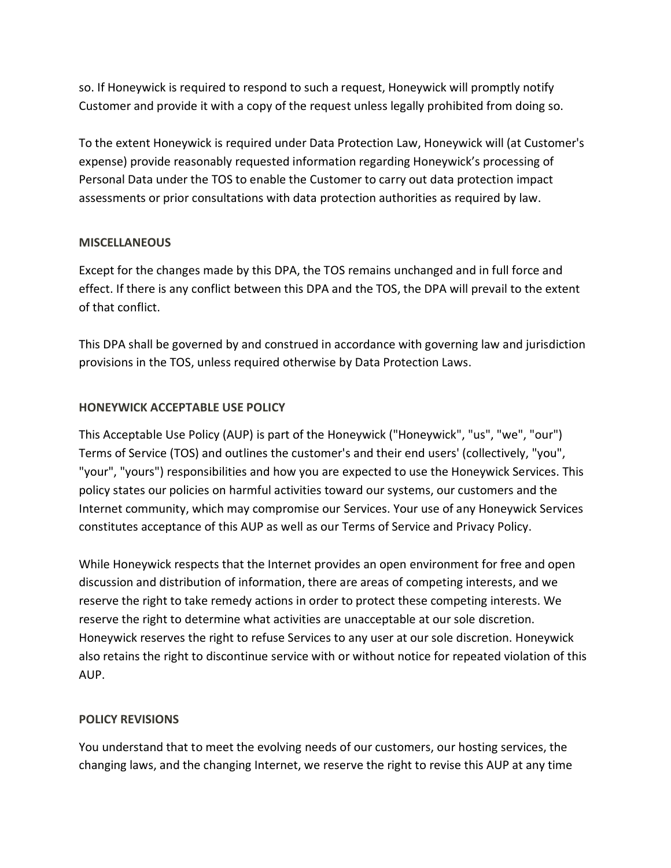so. If Honeywick is required to respond to such a request, Honeywick will promptly notify Customer and provide it with a copy of the request unless legally prohibited from doing so.

To the extent Honeywick is required under Data Protection Law, Honeywick will (at Customer's expense) provide reasonably requested information regarding Honeywick's processing of Personal Data under the TOS to enable the Customer to carry out data protection impact assessments or prior consultations with data protection authorities as required by law.

## **MISCELLANEOUS**

Except for the changes made by this DPA, the TOS remains unchanged and in full force and effect. If there is any conflict between this DPA and the TOS, the DPA will prevail to the extent of that conflict.

This DPA shall be governed by and construed in accordance with governing law and jurisdiction provisions in the TOS, unless required otherwise by Data Protection Laws.

# **HONEYWICK ACCEPTABLE USE POLICY**

This Acceptable Use Policy (AUP) is part of the Honeywick ("Honeywick", "us", "we", "our") Terms of Service (TOS) and outlines the customer's and their end users' (collectively, "you", "your", "yours") responsibilities and how you are expected to use the Honeywick Services. This policy states our policies on harmful activities toward our systems, our customers and the Internet community, which may compromise our Services. Your use of any Honeywick Services constitutes acceptance of this AUP as well as our Terms of Service and Privacy Policy.

While Honeywick respects that the Internet provides an open environment for free and open discussion and distribution of information, there are areas of competing interests, and we reserve the right to take remedy actions in order to protect these competing interests. We reserve the right to determine what activities are unacceptable at our sole discretion. Honeywick reserves the right to refuse Services to any user at our sole discretion. Honeywick also retains the right to discontinue service with or without notice for repeated violation of this AUP.

# **POLICY REVISIONS**

You understand that to meet the evolving needs of our customers, our hosting services, the changing laws, and the changing Internet, we reserve the right to revise this AUP at any time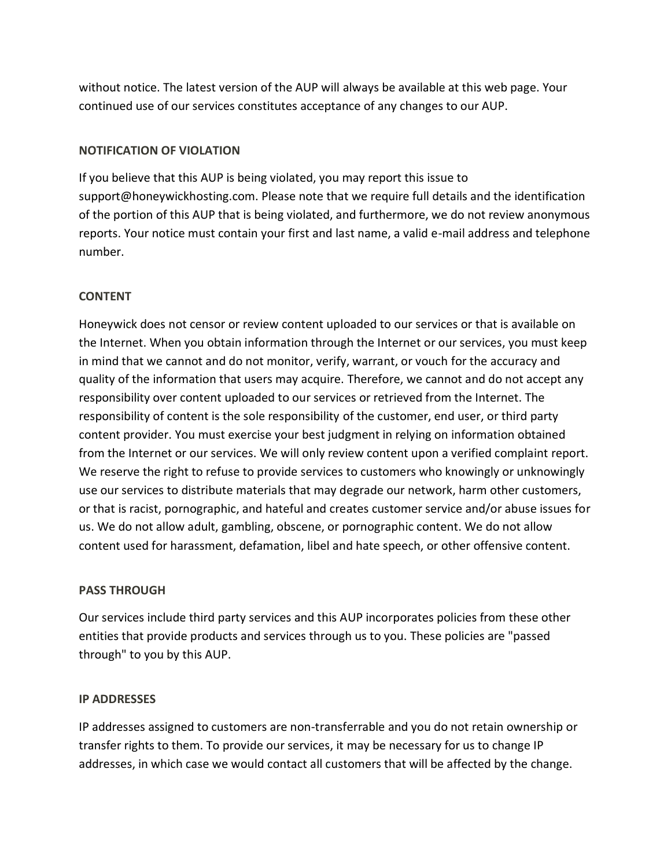without notice. The latest version of the AUP will always be available at this web page. Your continued use of our services constitutes acceptance of any changes to our AUP.

## **NOTIFICATION OF VIOLATION**

If you believe that this AUP is being violated, you may report this issue to support@honeywickhosting.com. Please note that we require full details and the identification of the portion of this AUP that is being violated, and furthermore, we do not review anonymous reports. Your notice must contain your first and last name, a valid e-mail address and telephone number.

## **CONTENT**

Honeywick does not censor or review content uploaded to our services or that is available on the Internet. When you obtain information through the Internet or our services, you must keep in mind that we cannot and do not monitor, verify, warrant, or vouch for the accuracy and quality of the information that users may acquire. Therefore, we cannot and do not accept any responsibility over content uploaded to our services or retrieved from the Internet. The responsibility of content is the sole responsibility of the customer, end user, or third party content provider. You must exercise your best judgment in relying on information obtained from the Internet or our services. We will only review content upon a verified complaint report. We reserve the right to refuse to provide services to customers who knowingly or unknowingly use our services to distribute materials that may degrade our network, harm other customers, or that is racist, pornographic, and hateful and creates customer service and/or abuse issues for us. We do not allow adult, gambling, obscene, or pornographic content. We do not allow content used for harassment, defamation, libel and hate speech, or other offensive content.

# **PASS THROUGH**

Our services include third party services and this AUP incorporates policies from these other entities that provide products and services through us to you. These policies are "passed through" to you by this AUP.

### **IP ADDRESSES**

IP addresses assigned to customers are non-transferrable and you do not retain ownership or transfer rights to them. To provide our services, it may be necessary for us to change IP addresses, in which case we would contact all customers that will be affected by the change.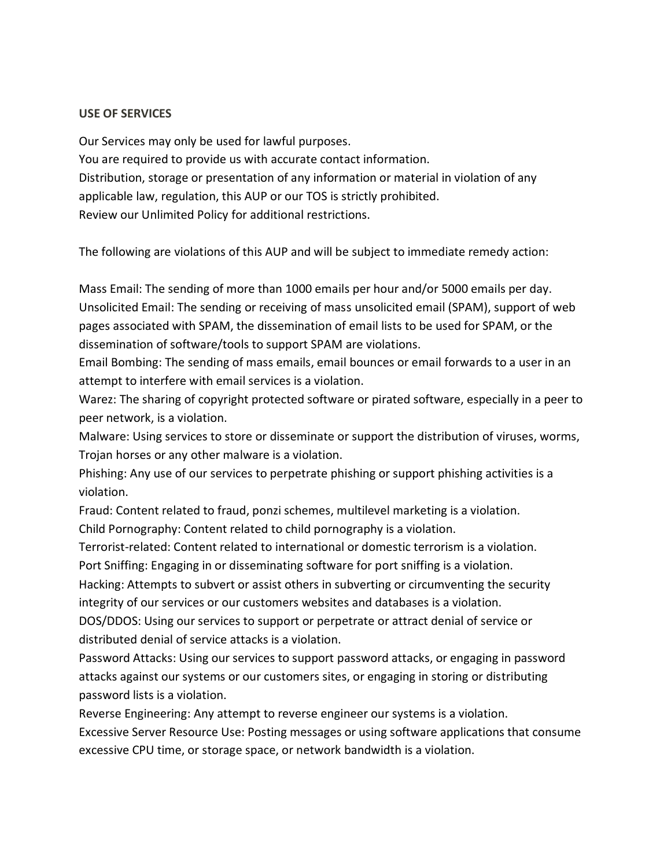#### **USE OF SERVICES**

Our Services may only be used for lawful purposes. You are required to provide us with accurate contact information. Distribution, storage or presentation of any information or material in violation of any applicable law, regulation, this AUP or our TOS is strictly prohibited. Review our Unlimited Policy for additional restrictions.

The following are violations of this AUP and will be subject to immediate remedy action:

Mass Email: The sending of more than 1000 emails per hour and/or 5000 emails per day. Unsolicited Email: The sending or receiving of mass unsolicited email (SPAM), support of web pages associated with SPAM, the dissemination of email lists to be used for SPAM, or the dissemination of software/tools to support SPAM are violations.

Email Bombing: The sending of mass emails, email bounces or email forwards to a user in an attempt to interfere with email services is a violation.

Warez: The sharing of copyright protected software or pirated software, especially in a peer to peer network, is a violation.

Malware: Using services to store or disseminate or support the distribution of viruses, worms, Trojan horses or any other malware is a violation.

Phishing: Any use of our services to perpetrate phishing or support phishing activities is a violation.

Fraud: Content related to fraud, ponzi schemes, multilevel marketing is a violation. Child Pornography: Content related to child pornography is a violation.

Terrorist-related: Content related to international or domestic terrorism is a violation.

Port Sniffing: Engaging in or disseminating software for port sniffing is a violation.

Hacking: Attempts to subvert or assist others in subverting or circumventing the security integrity of our services or our customers websites and databases is a violation.

DOS/DDOS: Using our services to support or perpetrate or attract denial of service or distributed denial of service attacks is a violation.

Password Attacks: Using our services to support password attacks, or engaging in password attacks against our systems or our customers sites, or engaging in storing or distributing password lists is a violation.

Reverse Engineering: Any attempt to reverse engineer our systems is a violation.

Excessive Server Resource Use: Posting messages or using software applications that consume excessive CPU time, or storage space, or network bandwidth is a violation.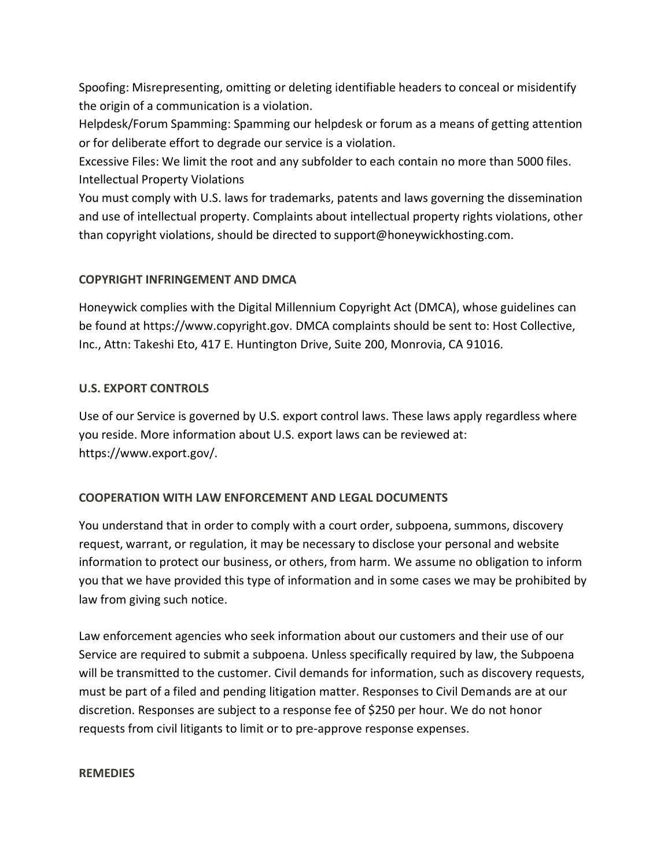Spoofing: Misrepresenting, omitting or deleting identifiable headers to conceal or misidentify the origin of a communication is a violation.

Helpdesk/Forum Spamming: Spamming our helpdesk or forum as a means of getting attention or for deliberate effort to degrade our service is a violation.

Excessive Files: We limit the root and any subfolder to each contain no more than 5000 files. Intellectual Property Violations

You must comply with U.S. laws for trademarks, patents and laws governing the dissemination and use of intellectual property. Complaints about intellectual property rights violations, other than copyright violations, should be directed to support@honeywickhosting.com.

# **COPYRIGHT INFRINGEMENT AND DMCA**

Honeywick complies with the Digital Millennium Copyright Act (DMCA), whose guidelines can be found at https://www.copyright.gov. DMCA complaints should be sent to: Host Collective, Inc., Attn: Takeshi Eto, 417 E. Huntington Drive, Suite 200, Monrovia, CA 91016.

# **U.S. EXPORT CONTROLS**

Use of our Service is governed by U.S. export control laws. These laws apply regardless where you reside. More information about U.S. export laws can be reviewed at: https://www.export.gov/.

# **COOPERATION WITH LAW ENFORCEMENT AND LEGAL DOCUMENTS**

You understand that in order to comply with a court order, subpoena, summons, discovery request, warrant, or regulation, it may be necessary to disclose your personal and website information to protect our business, or others, from harm. We assume no obligation to inform you that we have provided this type of information and in some cases we may be prohibited by law from giving such notice.

Law enforcement agencies who seek information about our customers and their use of our Service are required to submit a subpoena. Unless specifically required by law, the Subpoena will be transmitted to the customer. Civil demands for information, such as discovery requests, must be part of a filed and pending litigation matter. Responses to Civil Demands are at our discretion. Responses are subject to a response fee of \$250 per hour. We do not honor requests from civil litigants to limit or to pre-approve response expenses.

### **REMEDIES**